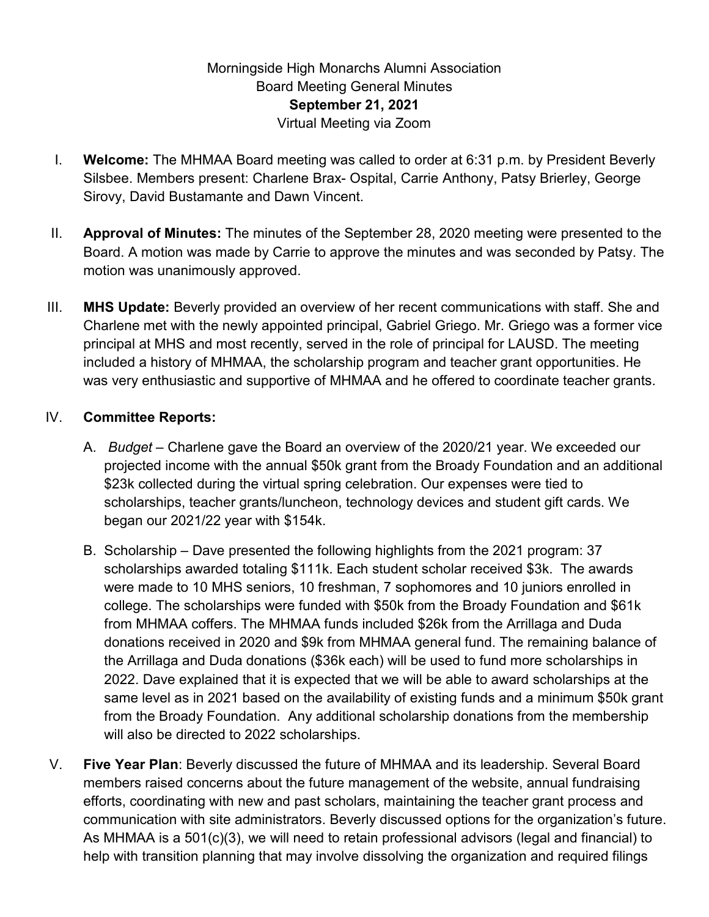## Morningside High Monarchs Alumni Association Board Meeting General Minutes **September 21, 2021** Virtual Meeting via Zoom

- I. **Welcome:** The MHMAA Board meeting was called to order at 6:31 p.m. by President Beverly Silsbee. Members present: Charlene Brax- Ospital, Carrie Anthony, Patsy Brierley, George Sirovy, David Bustamante and Dawn Vincent.
- II. **Approval of Minutes:** The minutes of the September 28, 2020 meeting were presented to the Board. A motion was made by Carrie to approve the minutes and was seconded by Patsy. The motion was unanimously approved.
- III. **MHS Update:** Beverly provided an overview of her recent communications with staff. She and Charlene met with the newly appointed principal, Gabriel Griego. Mr. Griego was a former vice principal at MHS and most recently, served in the role of principal for LAUSD. The meeting included a history of MHMAA, the scholarship program and teacher grant opportunities. He was very enthusiastic and supportive of MHMAA and he offered to coordinate teacher grants.

## IV. **Committee Reports:**

- A. *Budget* Charlene gave the Board an overview of the 2020/21 year. We exceeded our projected income with the annual \$50k grant from the Broady Foundation and an additional \$23k collected during the virtual spring celebration. Our expenses were tied to scholarships, teacher grants/luncheon, technology devices and student gift cards. We began our 2021/22 year with \$154k.
- B. Scholarship Dave presented the following highlights from the 2021 program: 37 scholarships awarded totaling \$111k. Each student scholar received \$3k. The awards were made to 10 MHS seniors, 10 freshman, 7 sophomores and 10 juniors enrolled in college. The scholarships were funded with \$50k from the Broady Foundation and \$61k from MHMAA coffers. The MHMAA funds included \$26k from the Arrillaga and Duda donations received in 2020 and \$9k from MHMAA general fund. The remaining balance of the Arrillaga and Duda donations (\$36k each) will be used to fund more scholarships in 2022. Dave explained that it is expected that we will be able to award scholarships at the same level as in 2021 based on the availability of existing funds and a minimum \$50k grant from the Broady Foundation. Any additional scholarship donations from the membership will also be directed to 2022 scholarships.
- V. **Five Year Plan**: Beverly discussed the future of MHMAA and its leadership. Several Board members raised concerns about the future management of the website, annual fundraising efforts, coordinating with new and past scholars, maintaining the teacher grant process and communication with site administrators. Beverly discussed options for the organization's future. As MHMAA is a 501(c)(3), we will need to retain professional advisors (legal and financial) to help with transition planning that may involve dissolving the organization and required filings